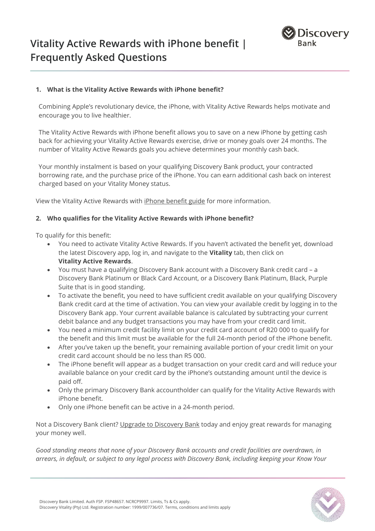

## **1. What is the Vitality Active Rewards with iPhone benefit?**

Combining Apple's revolutionary device, the iPhone, with Vitality Active Rewards helps motivate and encourage you to live healthier.

The Vitality Active Rewards with iPhone benefit allows you to save on a new iPhone by getting cash back for achieving your Vitality Active Rewards exercise, drive or money goals over 24 months. The number of Vitality Active Rewards goals you achieve determines your monthly cash back.

Your monthly instalment is based on your qualifying Discovery Bank product, your contracted borrowing rate, and the purchase price of the iPhone. You can earn additional cash back on interest charged based on your Vitality Money status.

View the Vitality Active Rewards wit[h iPhone benefit guide](http://www.discovery.co.za/site/preview/binaries/content/documents/managedcontent/discoverycoza/assets/vitality/benefit-guides/iphone-benefit-guide.pdf/iphone-benefit-guide.pdf/contentdelivery%3Abinary) for more information.

## **2. Who qualifies for the Vitality Active Rewards with iPhone benefit?**

To qualify for this benefit:

- You need to activate Vitality Active Rewards. If you haven't activated the benefit yet, download the latest Discovery app, log in, and navigate to the **Vitality** tab, then click on **Vitality Active Rewards**.
- You must have a qualifying Discovery Bank account with a Discovery Bank credit card a Discovery Bank Platinum or Black Card Account, or a Discovery Bank Platinum, Black, Purple Suite that is in good standing.
- To activate the benefit, you need to have sufficient credit available on your qualifying Discovery Bank credit card at the time of activation. You can view your available credit by logging in to the Discovery Bank app. Your current available balance is calculated by subtracting your current debit balance and any budget transactions you may have from your credit card limit.
- You need a minimum credit facility limit on your credit card account of R20 000 to qualify for the benefit and this limit must be available for the full 24-month period of the iPhone benefit.
- After you've taken up the benefit, your remaining available portion of your credit limit on your credit card account should be no less than R5 000.
- The iPhone benefit will appear as a budget transaction on your credit card and will reduce your available balance on your credit card by the iPhone's outstanding amount until the device is paid off.
- Only the primary Discovery Bank accountholder can qualify for the Vitality Active Rewards with iPhone benefit.
- Only one iPhone benefit can be active in a 24-month period.

Not a Discovery Bank client? [Upgrade to Discovery](https://www.discovery.co.za/bank/join-discovery-bank) Bank today and enjoy great rewards for managing your money well.

*Good standing means that none of your Discovery Bank accounts and credit facilities are overdrawn, in arrears, in default, or subject to any legal process with Discovery Bank, including keeping your Know Your* 

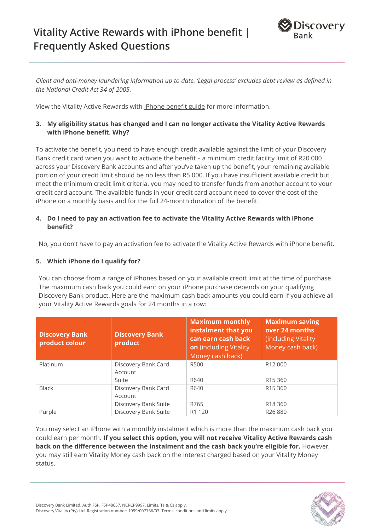# **Vitality Active Rewards with iPhone benefit | Frequently Asked Questions**



*Client and anti-money laundering information up to date. 'Legal process' excludes debt review as defined in the National Credit Act 34 of 2005.*

View the Vitality Active Rewards wit[h iPhone benefit guide](http://www.discovery.co.za/site/preview/binaries/content/documents/managedcontent/discoverycoza/assets/vitality/benefit-guides/iphone-benefit-guide.pdf/iphone-benefit-guide.pdf/contentdelivery%3Abinary) for more information.

# **3. My eligibility status has changed and I can no longer activate the Vitality Active Rewards with iPhone benefit. Why?**

To activate the benefit, you need to have enough credit available against the limit of your Discovery Bank credit card when you want to activate the benefit – a minimum credit facility limit of R20 000 across your Discovery Bank accounts and after you've taken up the benefit, your remaining available portion of your credit limit should be no less than R5 000. If you have insufficient available credit but meet the minimum credit limit criteria, you may need to transfer funds from another account to your credit card account. The available funds in your credit card account need to cover the cost of the iPhone on a monthly basis and for the full 24-month duration of the benefit.

## **4. Do I need to pay an activation fee to activate the Vitality Active Rewards with iPhone benefit?**

No, you don't have to pay an activation fee to activate the Vitality Active Rewards with iPhone benefit.

## **5. Which iPhone do I qualify for?**

You can choose from a range of iPhones based on your available credit limit at the time of purchase. The maximum cash back you could earn on your iPhone purchase depends on your qualifying Discovery Bank product. Here are the maximum cash back amounts you could earn if you achieve all your Vitality Active Rewards goals for 24 months in a row:

| <b>Discovery Bank</b><br>product colour | <b>Discovery Bank</b><br>product | <b>Maximum monthly</b><br>instalment that you<br>can earn cash back<br>on (including Vitality<br>Money cash back) | <b>Maximum saving</b><br>over 24 months<br>(including Vitality)<br>Money cash back) |
|-----------------------------------------|----------------------------------|-------------------------------------------------------------------------------------------------------------------|-------------------------------------------------------------------------------------|
| Platinum                                | Discovery Bank Card              | <b>R500</b>                                                                                                       | R <sub>12</sub> 000                                                                 |
|                                         | Account                          |                                                                                                                   |                                                                                     |
|                                         | Suite                            | R640                                                                                                              | R <sub>15</sub> 360                                                                 |
| <b>Black</b>                            | Discovery Bank Card              | R640                                                                                                              | R <sub>15</sub> 360                                                                 |
|                                         | Account                          |                                                                                                                   |                                                                                     |
|                                         | Discovery Bank Suite             | R765                                                                                                              | R <sub>18</sub> 360                                                                 |
| Purple                                  | Discovery Bank Suite             | R1 120                                                                                                            | R <sub>26</sub> 880                                                                 |

You may select an iPhone with a monthly instalment which is more than the maximum cash back you could earn per month. **If you select this option, you will not receive Vitality Active Rewards cash back on the difference between the instalment and the cash back you're eligible for.** However, you may still earn Vitality Money cash back on the interest charged based on your Vitality Money status.

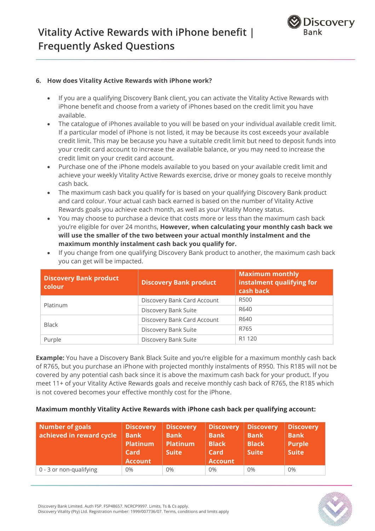

#### **6. How does Vitality Active Rewards with iPhone work?**

- If you are a qualifying Discovery Bank client, you can activate the Vitality Active Rewards with iPhone benefit and choose from a variety of iPhones based on the credit limit you have available.
- The catalogue of iPhones available to you will be based on your individual available credit limit. If a particular model of iPhone is not listed, it may be because its cost exceeds your available credit limit. This may be because you have a suitable credit limit but need to deposit funds into your credit card account to increase the available balance, or you may need to increase the credit limit on your credit card account.
- Purchase one of the iPhone models available to you based on your available credit limit and achieve your weekly Vitality Active Rewards exercise, drive or money goals to receive monthly cash back*.*
- The maximum cash back you qualify for is based on your qualifying Discovery Bank product and card colour. Your actual cash back earned is based on the number of Vitality Active Rewards goals you achieve each month, as well as your Vitality Money status.
- You may choose to purchase a device that costs more or less than the maximum cash back you're eligible for over 24 months, **However, when calculating your monthly cash back we will use the smaller of the two between your actual monthly instalment and the maximum monthly instalment cash back you qualify for.**

| <b>Discovery Bank product</b><br>colour | <b>Discovery Bank product</b> | <b>Maximum monthly</b><br>instalment qualifying for<br>cash back |
|-----------------------------------------|-------------------------------|------------------------------------------------------------------|
|                                         | Discovery Bank Card Account   | <b>R500</b>                                                      |
| Platinum                                | Discovery Bank Suite          | R640                                                             |
|                                         | Discovery Bank Card Account   | R640                                                             |
| <b>Black</b>                            | Discovery Bank Suite          | R765                                                             |
| Purple                                  | Discovery Bank Suite          | R <sub>1</sub> 120                                               |

• If you change from one qualifying Discovery Bank product to another, the maximum cash back you can get will be impacted.

**Example:** You have a Discovery Bank Black Suite and you're eligible for a maximum monthly cash back of R765, but you purchase an iPhone with projected monthly instalments of R950. This R185 will not be covered by any potential cash back since it is above the maximum cash back for your product. If you meet 11+ of your Vitality Active Rewards goals and receive monthly cash back of R765, the R185 which is not covered becomes your effective monthly cost for the iPhone.

#### **Maximum monthly Vitality Active Rewards with iPhone cash back per qualifying account:**

| Number of goals<br>achieved in reward cycle | <b>Discovery</b><br><b>Bank</b><br>Platinum<br>Card<br><b>Account</b> | <b>Discovery</b><br><b>Bank</b><br><b>Platinum</b><br><b>Suite</b> | <b>Discovery</b><br><b>Bank</b><br><b>Black</b><br>Card<br><b>Account</b> | <b>Discovery</b><br><b>Bank</b><br><b>Black</b><br><b>Suite</b> | <b>Discovery</b><br><b>Bank</b><br><b>Purple</b><br><b>Suite</b> |
|---------------------------------------------|-----------------------------------------------------------------------|--------------------------------------------------------------------|---------------------------------------------------------------------------|-----------------------------------------------------------------|------------------------------------------------------------------|
| 0 - 3 or non-qualifying                     | 0%                                                                    | $0\%$                                                              | 0%                                                                        | $0\%$                                                           | $0\%$                                                            |

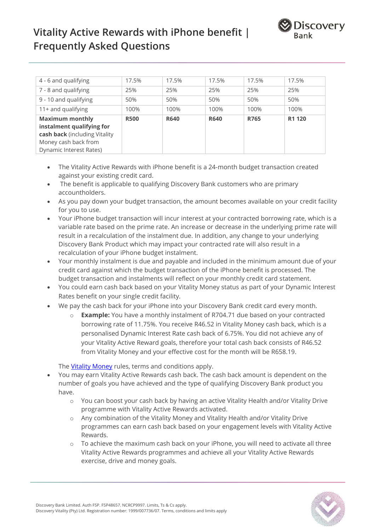

| 4 - 6 and qualifying                                                                                                                    | 17.5%       | 17.5%       | 17.5%       | 17.5% | 17.5%  |
|-----------------------------------------------------------------------------------------------------------------------------------------|-------------|-------------|-------------|-------|--------|
| 7 - 8 and qualifying                                                                                                                    | 25%         | 25%         | 25%         | 25%   | 25%    |
| 9 - 10 and qualifying                                                                                                                   | 50%         | 50%         | 50%         | 50%   | 50%    |
| 11+ and qualifying                                                                                                                      | 100%        | 100%        | 100%        | 100%  | 100%   |
| <b>Maximum monthly</b><br>instalment qualifying for<br>cash back (including Vitality<br>Money cash back from<br>Dynamic Interest Rates) | <b>R500</b> | <b>R640</b> | <b>R640</b> | R765  | R1 120 |

- The Vitality Active Rewards with iPhone benefit is a 24-month budget transaction created against your existing credit card.
- The benefit is applicable to qualifying Discovery Bank customers who are primary accountholders.
- As you pay down your budget transaction, the amount becomes available on your credit facility for you to use.
- Your iPhone budget transaction will incur interest at your contracted borrowing rate, which is a variable rate based on the prime rate. An increase or decrease in the underlying prime rate will result in a recalculation of the instalment due. In addition, any change to your underlying Discovery Bank Product which may impact your contracted rate will also result in a recalculation of your iPhone budget instalment.
- Your monthly instalment is due and payable and included in the minimum amount due of your credit card against which the budget transaction of the iPhone benefit is processed. The budget transaction and instalments will reflect on your monthly credit card statement.
- You could earn cash back based on your Vitality Money status as part of your Dynamic Interest Rates benefit on your single credit facility.
- We pay the cash back for your iPhone into your Discovery Bank credit card every month.
	- o **Example:** You have a monthly instalment of R704.71 due based on your contracted borrowing rate of 11.75%. You receive R46.52 in Vitality Money cash back, which is a personalised Dynamic Interest Rate cash back of 6.75%. You did not achieve any of your Vitality Active Reward goals, therefore your total cash back consists of R46.52 from Vitality Money and your effective cost for the month will be R658.19.

The **Vitality Money** rules, terms and conditions apply.

- You may earn Vitality Active Rewards cash back. The cash back amount is dependent on the number of goals you have achieved and the type of qualifying Discovery Bank product you have.
	- o You can boost your cash back by having an active Vitality Health and/or Vitality Drive programme with Vitality Active Rewards activated.
	- o Any combination of the Vitality Money and Vitality Health and/or Vitality Drive programmes can earn cash back based on your engagement levels with Vitality Active Rewards.
	- $\circ$  To achieve the maximum cash back on your iPhone, you will need to activate all three Vitality Active Rewards programmes and achieve all your Vitality Active Rewards exercise, drive and money goals.

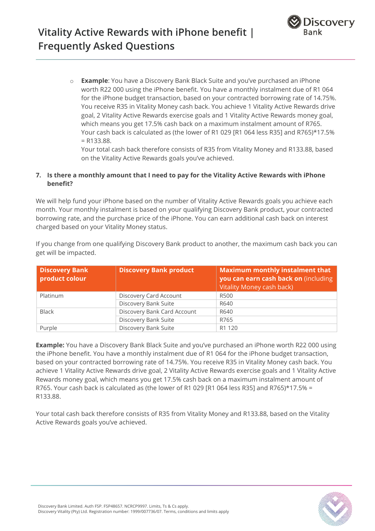o **Example**: You have a Discovery Bank Black Suite and you've purchased an iPhone worth R22 000 using the iPhone benefit. You have a monthly instalment due of R1 064 for the iPhone budget transaction, based on your contracted borrowing rate of 14.75%. You receive R35 in Vitality Money cash back. You achieve 1 Vitality Active Rewards drive goal, 2 Vitality Active Rewards exercise goals and 1 Vitality Active Rewards money goal, which means you get 17.5% cash back on a maximum instalment amount of R765. Your cash back is calculated as (the lower of R1 029 [R1 064 less R35] and R765)\*17.5% = R133.88.

Your total cash back therefore consists of R35 from Vitality Money and R133.88, based on the Vitality Active Rewards goals you've achieved.

# **7. Is there a monthly amount that I need to pay for the Vitality Active Rewards with iPhone benefit?**

We will help fund your iPhone based on the number of Vitality Active Rewards goals you achieve each month. Your monthly instalment is based on your qualifying Discovery Bank product, your contracted borrowing rate, and the purchase price of the iPhone. You can earn additional cash back on interest charged based on your Vitality Money status.

If you change from one qualifying Discovery Bank product to another, the maximum cash back you can get will be impacted.

| <b>Discovery Bank</b><br>product colour | <b>Discovery Bank product</b> | <b>Maximum monthly instalment that</b><br>you can earn cash back on (including<br>Vitality Money cash back) |
|-----------------------------------------|-------------------------------|-------------------------------------------------------------------------------------------------------------|
| Platinum                                | Discovery Card Account        | R500                                                                                                        |
|                                         | Discovery Bank Suite          | R640                                                                                                        |
| <b>Black</b>                            | Discovery Bank Card Account   | R640                                                                                                        |
|                                         | Discovery Bank Suite          | R765                                                                                                        |
| Purple                                  | Discovery Bank Suite          | R1 120                                                                                                      |

**Example:** You have a Discovery Bank Black Suite and you've purchased an iPhone worth R22 000 using the iPhone benefit. You have a monthly instalment due of R1 064 for the iPhone budget transaction, based on your contracted borrowing rate of 14.75%. You receive R35 in Vitality Money cash back. You achieve 1 Vitality Active Rewards drive goal, 2 Vitality Active Rewards exercise goals and 1 Vitality Active Rewards money goal, which means you get 17.5% cash back on a maximum instalment amount of R765. Your cash back is calculated as (the lower of R1 029 [R1 064 less R35] and R765)\*17.5% = R133.88.

Your total cash back therefore consists of R35 from Vitality Money and R133.88, based on the Vitality Active Rewards goals you've achieved.

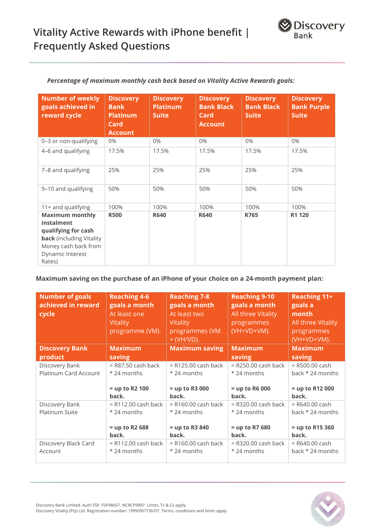| <b>Number of weekly</b><br>goals achieved in<br>reward cycle                                                                                         | <b>Discovery</b><br><b>Bank</b><br><b>Platinum</b><br>Card<br><b>Account</b> | <b>Discovery</b><br>Platinu <u>m</u><br><b>Suite</b> | <b>Discovery</b><br><b>Bank Black</b><br>Card<br><b>Account</b> | <b>Discovery</b><br><b>Bank Black</b><br><b>Suite</b> | <b>Discovery</b><br><b>Bank Purple</b><br><b>Suite</b> |
|------------------------------------------------------------------------------------------------------------------------------------------------------|------------------------------------------------------------------------------|------------------------------------------------------|-----------------------------------------------------------------|-------------------------------------------------------|--------------------------------------------------------|
| 0-3 or non-qualifying                                                                                                                                | 0%                                                                           | 0%                                                   | 0%                                                              | $0\%$                                                 | 0%                                                     |
| 4-6 and qualifying                                                                                                                                   | 17.5%                                                                        | 17.5%                                                | 17.5%                                                           | 17.5%                                                 | 17.5%                                                  |
| 7-8 and qualifying                                                                                                                                   | 25%                                                                          | 25%                                                  | 25%                                                             | 25%                                                   | 25%                                                    |
| 9-10 and qualifying                                                                                                                                  | 50%                                                                          | 50%                                                  | 50%                                                             | 50%                                                   | 50%                                                    |
| 11+ and qualifying                                                                                                                                   | 100%                                                                         | 100%                                                 | 100%                                                            | 100%                                                  | 100%                                                   |
| <b>Maximum monthly</b><br>instalment<br>qualifying for cash<br><b>back</b> (including Vitality<br>Money cash back from<br>Dynamic Interest<br>Rates) | <b>R500</b>                                                                  | <b>R640</b>                                          | <b>R640</b>                                                     | R765                                                  | R1 120                                                 |

# *Percentage of maximum monthly cash back based on Vitality Active Rewards goals:*

# **Maximum saving on the purchase of an iPhone of your choice on a 24-month payment plan:**

| <b>Number of goals</b><br>achieved in reward<br>cycle | <b>Reaching 4-6</b><br>goals a month<br>At least one<br>Vitality<br>programme (VM). | <b>Reaching 7-8</b><br>goals a month<br>At least two<br><b>Vitality</b><br>programmes (VM<br>$+$ (VH/VD). | <b>Reaching 9-10</b><br>goals a month<br>All three Vitality<br>programmes<br>(VH+VD+VM). | <b>Reaching 11+</b><br>goals a<br>month<br>All three Vitality<br>programmes<br>(VH+VD+VM). |
|-------------------------------------------------------|-------------------------------------------------------------------------------------|-----------------------------------------------------------------------------------------------------------|------------------------------------------------------------------------------------------|--------------------------------------------------------------------------------------------|
| <b>Discovery Bank</b>                                 | <b>Maximum</b>                                                                      | <b>Maximum saving</b>                                                                                     | <b>Maximum</b>                                                                           | <b>Maximum</b>                                                                             |
| product                                               | saving                                                                              |                                                                                                           | saving                                                                                   | saving                                                                                     |
| Discovery Bank<br>Platinum Card Account               | $=$ R87.50 cash back<br>$*$ 24 months<br>$=$ up to R2 100<br>back.                  | $= R125.00$ cash back<br>* 24 months<br>$=$ up to R3 000<br>back.                                         | $=$ R250.00 cash back<br>$*$ 24 months<br>$=$ up to R6 000<br>back.                      | $=$ R500.00 cash<br>back $*$ 24 months<br>$=$ up to R12 000<br>back.                       |
| Discovery Bank<br>Platinum Suite                      | $=$ R112.00 cash back<br>* 24 months<br>$=$ up to R2 688<br>back.                   | $=$ R160.00 cash back<br>* 24 months<br>$=$ up to R3 840<br>back.                                         | $=$ R320.00 cash back<br>*24 months<br>$=$ up to R7 680<br>back.                         | $=$ R640.00 cash<br>back $*$ 24 months<br>$=$ up to R15 360<br>back.                       |
| Discovery Black Card<br>Account                       | $=$ R112.00 cash back<br>* 24 months                                                | $=$ R160.00 cash back<br>* 24 months                                                                      | $=$ R320.00 cash back<br>*24 months                                                      | $=$ R640.00 cash<br>back $*$ 24 months                                                     |

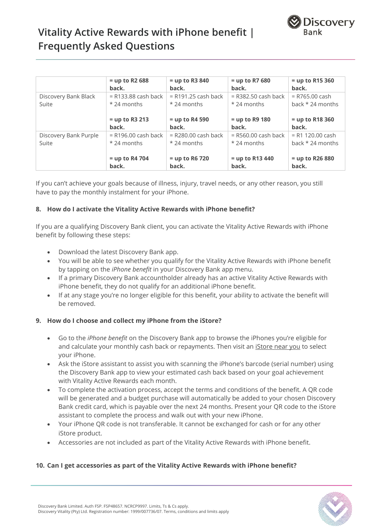

# **Vitality Active Rewards with iPhone benefit | Frequently Asked Questions**

|                       | $=$ up to R2 688<br>back. | $=$ up to R3 840<br>back. | $=$ up to R7 680<br>back. | $=$ up to R15 360<br>back. |
|-----------------------|---------------------------|---------------------------|---------------------------|----------------------------|
| Discovery Bank Black  | $= R133.88$ cash back     | $=$ R191.25 cash back     | $=$ R382.50 cash back     | $= R765.00$ cash           |
| Suite                 | $*$ 24 months             | * 24 months               | $*$ 24 months             | back $*$ 24 months         |
|                       |                           |                           |                           |                            |
|                       | $=$ up to R3 213          | $=$ up to R4 590          | $=$ up to R9 180          | $=$ up to R18 360          |
|                       | back.                     | back.                     | back.                     | back.                      |
| Discovery Bank Purple | $=$ R196.00 cash back     | $=$ R280.00 cash back     | $=$ R560.00 cash back     | $= R1 120.00$ cash         |
| Suite                 | $*$ 24 months             | * 24 months               | $*$ 24 months             | back $*$ 24 months         |
|                       |                           |                           |                           |                            |
|                       | $=$ up to R4 704          | $=$ up to R6 720          | $=$ up to R13 440         | $=$ up to R26 880          |
|                       | back.                     | back.                     | back.                     | back.                      |

If you can't achieve your goals because of illness, injury, travel needs, or any other reason, you still have to pay the monthly instalment for your iPhone.

### **8. How do I activate the Vitality Active Rewards with iPhone benefit?**

If you are a qualifying Discovery Bank client, you can activate the Vitality Active Rewards with iPhone benefit by following these steps:

- Download the latest Discovery Bank app.
- You will be able to see whether you qualify for the Vitality Active Rewards with iPhone benefit by tapping on the *iPhone benefit* in your Discovery Bank app menu.
- If a primary Discovery Bank accountholder already has an active Vitality Active Rewards with iPhone benefit, they do not qualify for an additional iPhone benefit.
- If at any stage you're no longer eligible for this benefit, your ability to activate the benefit will be removed.

## **9. How do I choose and collect my iPhone from the iStore?**

- Go to the *iPhone benefit* on the Discovery Bank app to browse the iPhones you're eligible for and calculate your monthly cash back or repayments. Then visit an *iStore near you* to select your iPhone.
- Ask the iStore assistant to assist you with scanning the iPhone's barcode (serial number) using the Discovery Bank app to view your estimated cash back based on your goal achievement with Vitality Active Rewards each month.
- To complete the activation process, accept the terms and conditions of the benefit. A QR code will be generated and a budget purchase will automatically be added to your chosen Discovery Bank credit card, which is payable over the next 24 months. Present your QR code to the iStore assistant to complete the process and walk out with your new iPhone.
- Your iPhone QR code is not transferable. It cannot be exchanged for cash or for any other iStore product.
- Accessories are not included as part of the Vitality Active Rewards with iPhone benefit.

## **10. Can I get accessories as part of the Vitality Active Rewards with iPhone benefit?**

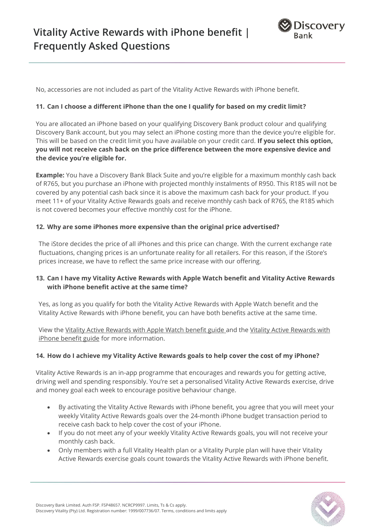

No, accessories are not included as part of the Vitality Active Rewards with iPhone benefit.

### **11. Can I choose a different iPhone than the one I qualify for based on my credit limit?**

You are allocated an iPhone based on your qualifying Discovery Bank product colour and qualifying Discovery Bank account, but you may select an iPhone costing more than the device you're eligible for. This will be based on the credit limit you have available on your credit card. **If you select this option, you will not receive cash back on the price difference between the more expensive device and the device you're eligible for.**

**Example:** You have a Discovery Bank Black Suite and you're eligible for a maximum monthly cash back of R765, but you purchase an iPhone with projected monthly instalments of R950. This R185 will not be covered by any potential cash back since it is above the maximum cash back for your product. If you meet 11+ of your Vitality Active Rewards goals and receive monthly cash back of R765, the R185 which is not covered becomes your effective monthly cost for the iPhone.

#### **12. Why are some iPhones more expensive than the original price advertised?**

The iStore decides the price of all iPhones and this price can change. With the current exchange rate fluctuations, changing prices is an unfortunate reality for all retailers. For this reason, if the iStore's prices increase, we have to reflect the same price increase with our offering.

## **13. Can I have my Vitality Active Rewards with Apple Watch benefit and Vitality Active Rewards with iPhone benefit active at the same time?**

Yes, as long as you qualify for both the Vitality Active Rewards with Apple Watch benefit and the Vitality Active Rewards with iPhone benefit, you can have both benefits active at the same time.

View the Vitality Active [Rewards with Apple Watch benefit guide](https://www.discovery.co.za/discovery_coza/web/linked_content/pdfs/vitality/apple_watch/vitality_active_rewards_apple_watch_benefit_guide.pdf) and the Vitality Active [Rewards with](http://www.discovery.co.za/site/preview/binaries/content/documents/managedcontent/discoverycoza/assets/vitality/benefit-guides/iphone-benefit-guide.pdf/iphone-benefit-guide.pdf/contentdelivery%3Abinary)  [iPhone benefit guide](http://www.discovery.co.za/site/preview/binaries/content/documents/managedcontent/discoverycoza/assets/vitality/benefit-guides/iphone-benefit-guide.pdf/iphone-benefit-guide.pdf/contentdelivery%3Abinary) for more information.

#### **14. How do I achieve my Vitality Active Rewards goals to help cover the cost of my iPhone?**

Vitality Active Rewards is an in-app programme that encourages and rewards you for getting active, driving well and spending responsibly. You're set a personalised Vitality Active Rewards exercise, drive and money goal each week to encourage positive behaviour change.

- By activating the Vitality Active Rewards with iPhone benefit, you agree that you will meet your weekly Vitality Active Rewards goals over the 24-month iPhone budget transaction period to receive cash back to help cover the cost of your iPhone.
- If you do not meet any of your weekly Vitality Active Rewards goals, you will not receive your monthly cash back.
- Only members with a full Vitality Health plan or a Vitality Purple plan will have their Vitality Active Rewards exercise goals count towards the Vitality Active Rewards with iPhone benefit.

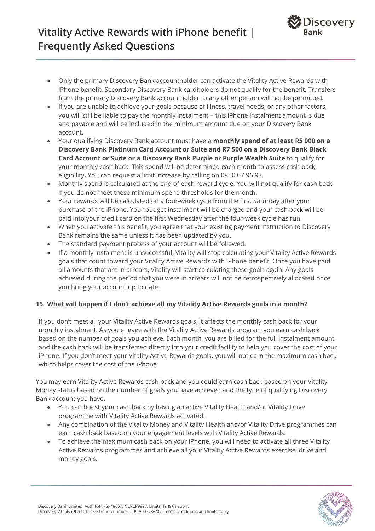

- Only the primary Discovery Bank accountholder can activate the Vitality Active Rewards with iPhone benefit. Secondary Discovery Bank cardholders do not qualify for the benefit. Transfers from the primary Discovery Bank accountholder to any other person will not be permitted.
- If you are unable to achieve your goals because of illness, travel needs, or any other factors, you will still be liable to pay the monthly instalment – this iPhone instalment amount is due and payable and will be included in the minimum amount due on your Discovery Bank account.
- Your qualifying Discovery Bank account must have a **monthly spend of at least R5 000 on a Discovery Bank Platinum Card Account or Suite and R7 500 on a Discovery Bank Black Card Account or Suite or a Discovery Bank Purple or Purple Wealth Suite** to qualify for your monthly cash back. This spend will be determined each month to assess cash back eligibility**.** You can request a limit increase by calling on 0800 07 96 97.
- Monthly spend is calculated at the end of each reward cycle. You will not qualify for cash back if you do not meet these minimum spend thresholds for the month.
- Your rewards will be calculated on a four-week cycle from the first Saturday after your purchase of the iPhone. Your budget instalment will be charged and your cash back will be paid into your credit card on the first Wednesday after the four-week cycle has run.
- When you activate this benefit, you agree that your existing payment instruction to Discovery Bank remains the same unless it has been updated by you.
- The standard payment process of your account will be followed.
- If a monthly instalment is unsuccessful, Vitality will stop calculating your Vitality Active Rewards goals that count toward your Vitality Active Rewards with iPhone benefit. Once you have paid all amounts that are in arrears, Vitality will start calculating these goals again. Any goals achieved during the period that you were in arrears will not be retrospectively allocated once you bring your account up to date.

# **15. What will happen if I don't achieve all my Vitality Active Rewards goals in a month?**

If you don't meet all your Vitality Active Rewards goals, it affects the monthly cash back for your monthly instalment. As you engage with the Vitality Active Rewards program you earn cash back based on the number of goals you achieve. Each month, you are billed for the full instalment amount and the cash back will be transferred directly into your credit facility to help you cover the cost of your iPhone. If you don't meet your Vitality Active Rewards goals, you will not earn the maximum cash back which helps cover the cost of the iPhone.

You may earn Vitality Active Rewards cash back and you could earn cash back based on your Vitality Money status based on the number of goals you have achieved and the type of qualifying Discovery Bank account you have.

- You can boost your cash back by having an active Vitality Health and/or Vitality Drive programme with Vitality Active Rewards activated.
- Any combination of the Vitality Money and Vitality Health and/or Vitality Drive programmes can earn cash back based on your engagement levels with Vitality Active Rewards.
- To achieve the maximum cash back on your iPhone, you will need to activate all three Vitality Active Rewards programmes and achieve all your Vitality Active Rewards exercise, drive and money goals.

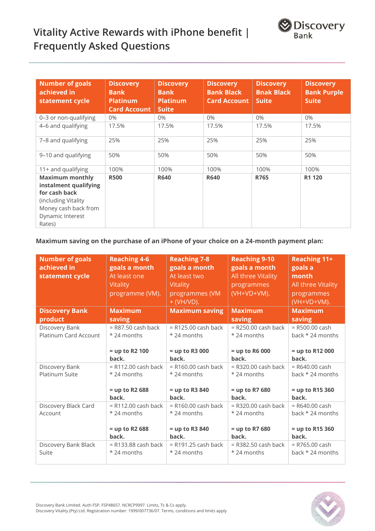

# **Vitality Active Rewards with iPhone benefit | Frequently Asked Questions**

| <b>Number of goals</b><br>achieved in<br>statement cycle                                                                                       | <b>Discovery</b><br><b>Bank</b><br><b>Platinum</b><br><b>Card Account</b> | <b>Discovery</b><br><b>Bank</b><br><b>Platinum</b><br><b>Suite</b> | <b>Discovery</b><br><b>Bank Black</b><br><b>Card Account</b> | <b>Discovery</b><br><b>Bnak Black</b><br><b>Suite</b> | <b>Discovery</b><br><b>Bank Purple</b><br><b>Suite</b> |
|------------------------------------------------------------------------------------------------------------------------------------------------|---------------------------------------------------------------------------|--------------------------------------------------------------------|--------------------------------------------------------------|-------------------------------------------------------|--------------------------------------------------------|
| 0-3 or non-qualifying                                                                                                                          | 0%                                                                        | $0\%$                                                              | $0\%$                                                        | $0\%$                                                 | $0\%$                                                  |
| 4-6 and qualifying                                                                                                                             | 17.5%                                                                     | 17.5%                                                              | 17.5%                                                        | 17.5%                                                 | 17.5%                                                  |
| 7-8 and qualifying                                                                                                                             | 25%                                                                       | 25%                                                                | 25%                                                          | 25%                                                   | 25%                                                    |
| 9-10 and qualifying                                                                                                                            | 50%                                                                       | 50%                                                                | 50%                                                          | 50%                                                   | 50%                                                    |
| 11+ and qualifying                                                                                                                             | 100%                                                                      | 100%                                                               | 100%                                                         | 100%                                                  | 100%                                                   |
| <b>Maximum monthly</b><br>instalment qualifying<br>for cash back<br>(including Vitality)<br>Money cash back from<br>Dynamic Interest<br>Rates) | <b>R500</b>                                                               | <b>R640</b>                                                        | <b>R640</b>                                                  | R765                                                  | R1 120                                                 |

**Maximum saving on the purchase of an iPhone of your choice on a 24-month payment plan:**

| <b>Number of goals</b><br>achieved in<br>statement cycle | <b>Reaching 4-6</b><br>goals a month<br>At least one<br>Vitality<br>programme (VM). | <b>Reaching 7-8</b><br>goals a month<br>At least two<br>Vitality<br>programmes (VM<br>$+$ (VH/VD). | <b>Reaching 9-10</b><br>goals a month<br>All three Vitality<br>programmes<br>(VH+VD+VM). | <b>Reaching 11+</b><br>goals a<br>month<br>All three Vitality<br>programmes<br>(VH+VD+VM). |
|----------------------------------------------------------|-------------------------------------------------------------------------------------|----------------------------------------------------------------------------------------------------|------------------------------------------------------------------------------------------|--------------------------------------------------------------------------------------------|
| <b>Discovery Bank</b>                                    | <b>Maximum</b>                                                                      | <b>Maximum saving</b>                                                                              | <b>Maximum</b>                                                                           | <b>Maximum</b>                                                                             |
| product                                                  | saving                                                                              |                                                                                                    | saving                                                                                   | saving                                                                                     |
| Discovery Bank                                           | $=$ R87.50 cash back                                                                | $=$ R125.00 cash back                                                                              | $=$ R250.00 cash back                                                                    | = R500.00 cash                                                                             |
| <b>Platinum Card Account</b>                             | * 24 months                                                                         | *24 months                                                                                         | *24 months                                                                               | back $*$ 24 months                                                                         |
|                                                          | $=$ up to R2 100                                                                    | $=$ up to R3 000                                                                                   | $=$ up to R6 000                                                                         | = up to R12 000                                                                            |
|                                                          | back.                                                                               | back.                                                                                              | back.                                                                                    | back.                                                                                      |
| Discovery Bank                                           | $=$ R112.00 cash back                                                               | $=$ R160.00 cash back                                                                              | $=$ R320.00 cash back                                                                    | $=$ R640.00 cash                                                                           |
| Platinum Suite                                           | * 24 months                                                                         | *24 months                                                                                         | *24 months                                                                               | back $*$ 24 months                                                                         |
|                                                          | $=$ up to R2 688<br>back.                                                           | $=$ up to R3 840<br>back.                                                                          | $=$ up to R7 680<br>back.                                                                | = up to R15 360<br>back.                                                                   |
| Discovery Black Card                                     | $= R112.00$ cash back                                                               | $=$ R160.00 cash back                                                                              | $=$ R320.00 cash back                                                                    | $=$ R640.00 cash                                                                           |
| Account                                                  | * 24 months                                                                         | *24 months                                                                                         | *24 months                                                                               | back $*$ 24 months                                                                         |
|                                                          | $=$ up to R2 688<br>back.                                                           | $=$ up to R3 840<br>back.                                                                          | $=$ up to R7 680<br>back.                                                                | = up to R15 360<br>back.                                                                   |
| Discovery Bank Black                                     | $= R133.88$ cash back                                                               | $=$ R191.25 cash back                                                                              | $=$ R382.50 cash back                                                                    | = R765.00 cash                                                                             |
| Suite                                                    | *24 months                                                                          | *24 months                                                                                         | *24 months                                                                               | back $*$ 24 months                                                                         |

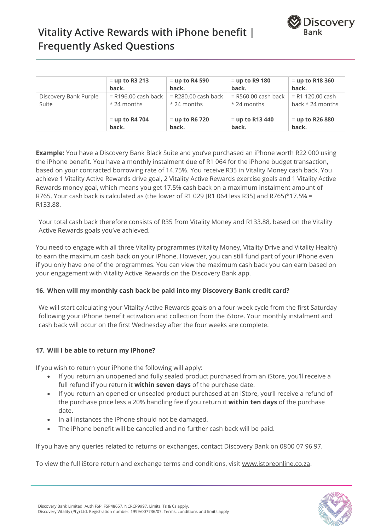

# **Vitality Active Rewards with iPhone benefit | Frequently Asked Questions**

|                       | $=$ up to R3 213      | $=$ up to R4 590      | $=$ up to R9 180      | $=$ up to R18 360  |
|-----------------------|-----------------------|-----------------------|-----------------------|--------------------|
|                       | back.                 | back.                 | back.                 | back.              |
| Discovery Bank Purple | $=$ R196.00 cash back | $=$ R280.00 cash back | $=$ R560.00 cash back | $= R1 120.00$ cash |
| Suite                 | $*$ 24 months         | $*$ 24 months         | $*$ 24 months         | back $*$ 24 months |
|                       | $=$ up to R4 704      | $=$ up to R6 720      | $=$ up to R13 440     | $=$ up to R26 880  |
|                       | back.                 | back.                 | back.                 | back.              |

**Example:** You have a Discovery Bank Black Suite and you've purchased an iPhone worth R22 000 using the iPhone benefit. You have a monthly instalment due of R1 064 for the iPhone budget transaction, based on your contracted borrowing rate of 14.75%. You receive R35 in Vitality Money cash back. You achieve 1 Vitality Active Rewards drive goal, 2 Vitality Active Rewards exercise goals and 1 Vitality Active Rewards money goal, which means you get 17.5% cash back on a maximum instalment amount of R765. Your cash back is calculated as (the lower of R1 029 [R1 064 less R35] and R765)\*17.5% = R133.88.

Your total cash back therefore consists of R35 from Vitality Money and R133.88, based on the Vitality Active Rewards goals you've achieved.

You need to engage with all three Vitality programmes (Vitality Money, Vitality Drive and Vitality Health) to earn the maximum cash back on your iPhone. However, you can still fund part of your iPhone even if you only have one of the programmes. You can view the maximum cash back you can earn based on your engagement with Vitality Active Rewards on the Discovery Bank app.

## **16. When will my monthly cash back be paid into my Discovery Bank credit card?**

We will start calculating your Vitality Active Rewards goals on a four-week cycle from the first Saturday following your iPhone benefit activation and collection from the iStore. Your monthly instalment and cash back will occur on the first Wednesday after the four weeks are complete.

## **17. Will I be able to return my iPhone?**

If you wish to return your iPhone the following will apply:

- If you return an unopened and fully sealed product purchased from an iStore, you'll receive a full refund if you return it **within seven days** of the purchase date.
- If you return an opened or unsealed product purchased at an iStore, you'll receive a refund of the purchase price less a 20% handling fee if you return it **within ten days** of the purchase date.
- In all instances the iPhone should not be damaged.
- The iPhone benefit will be cancelled and no further cash back will be paid.

If you have any queries related to returns or exchanges, contact Discovery Bank on 0800 07 96 97.

To view the full iStore return and exchange terms and conditions, visit [www.istoreonline.co.za.](http://www.istoreonline.co.za/)

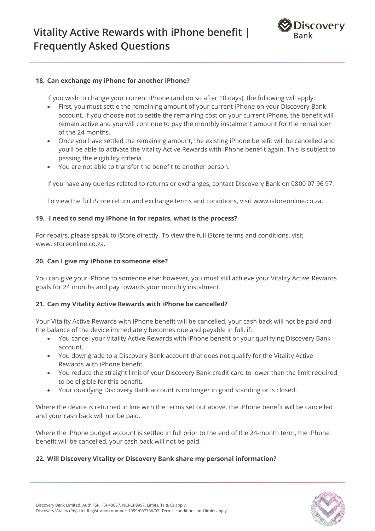

### **18. Can exchange my iPhone for another iPhone?**

If you wish to change your current iPhone (and do so after 10 days), the following will apply:

- First, you must settle the remaining amount of your current iPhone on your Discovery Bank account. If you choose not to settle the remaining cost on your current iPhone, the benefit will remain active and you will continue to pay the monthly instalment amount for the remainder of the 24 months.
- Once you have settled the remaining amount, the existing iPhone benefit will be cancelled and you'll be able to activate the Vitality Active Rewards with iPhone benefit again. This is subject to passing the eligibility criteria.
- You are not able to transfer the benefit to another person.

If you have any queries related to returns or exchanges, contact Discovery Bank on 0800 07 96 97.

To view the full iStore return and exchange terms and conditions, visit [www.istoreonline.co.za.](http://www.istoreonline.co.za/)

### **19. I need to send my iPhone in for repairs, what is the process?**

For repairs, please speak to iStore directly. To view the full iStore terms and conditions, visit [www.istoreonline.co.za.](http://www.istoreonline.co.za/)

### **20. Can I give my iPhone to someone else?**

You can give your iPhone to someone else; however, you must still achieve your Vitality Active Rewards goals for 24 months and pay towards your monthly instalment.

## **21. Can my Vitality Active Rewards with iPhone be cancelled?**

Your Vitality Active Rewards with iPhone benefit will be cancelled, your cash back will not be paid and the balance of the device immediately becomes due and payable in full, if:

- You cancel your Vitality Active Rewards with iPhone benefit or your qualifying Discovery Bank account.
- You downgrade to a Discovery Bank account that does not qualify for the Vitality Active Rewards with iPhone benefit.
- You reduce the straight limit of your Discovery Bank credit card to lower than the limit required to be eligible for this benefit.
- Your qualifying Discovery Bank account is no longer in good standing or is closed.

Where the device is returned in line with the terms set out above, the iPhone benefit will be cancelled and your cash back will not be paid.

Where the iPhone budget account is settled in full prior to the end of the 24-month term, the iPhone benefit will be cancelled, your cash back will not be paid.

## **22. Will Discovery Vitality or Discovery Bank share my personal information?**

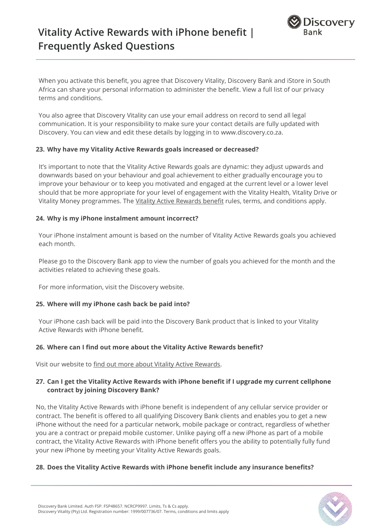

When you activate this benefit, you agree that Discovery Vitality, Discovery Bank and iStore in South Africa can share your personal information to administer the benefi[t. View a full list of our privacy](https://www.discovery.co.za/portal/individual/terms-and-conditions)  [terms and conditions.](https://www.discovery.co.za/portal/individual/terms-and-conditions)

You also agree that Discovery Vitality can use your email address on record to send all legal communication. It is your responsibility to make sure your contact details are fully updated with Discovery. You can view and edit these details by logging in to [www.discovery.co.za.](http://www.discovery.co.za/)

### **23. Why have my Vitality Active Rewards goals increased or decreased?**

It's important to note that the Vitality Active Rewards goals are dynamic: they adjust upwards and downwards based on your behaviour and goal achievement to either gradually encourage you to improve your behaviour or to keep you motivated and engaged at the current level or a lower level should that be more appropriate for your level of engagement with the Vitality Health, Vitality Drive or Vitality Money programmes. The [Vitality Active Rewards benefit](https://www.discovery.co.za/discovery_coza/web/linked_content/pdfs/vitality/benefit_rules/vitality_active_rewards_benefit_guide.pdf) rules, terms, and conditions apply.

### **24. Why is my iPhone instalment amount incorrect?**

Your iPhone instalment amount is based on the number of Vitality Active Rewards goals you achieved each month.

Please go to the Discovery Bank app to view the number of goals you achieved for the month and the activities related to achieving these goals.

For more information, visit the [Discovery](https://www.discovery.co.za/portal/vitality/help-vitality-active-rewards#log-a-query) website.

## **25. Where will my iPhone cash back be paid into?**

Your iPhone cash back will be paid into the Discovery Bank product that is linked to your Vitality Active Rewards with iPhone benefit.

## **26. Where can I find out more about the Vitality Active Rewards benefit?**

Visit our website to [find out more about Vitality Active](http://www.discovery.co.za/vitality/active-rewards) Rewards.

## **27. Can I get the Vitality Active Rewards with iPhone benefit if I upgrade my current cellphone contract by joining Discovery Bank?**

No, the Vitality Active Rewards with iPhone benefit is independent of any cellular service provider or contract. The benefit is offered to all qualifying Discovery Bank clients and enables you to get a new iPhone without the need for a particular network, mobile package or contract, regardless of whether you are a contract or prepaid mobile customer. Unlike paying off a new iPhone as part of a mobile contract, the Vitality Active Rewards with iPhone benefit offers you the ability to potentially fully fund your new iPhone by meeting your Vitality Active Rewards goals.

#### **28. Does the Vitality Active Rewards with iPhone benefit include any insurance benefits?**